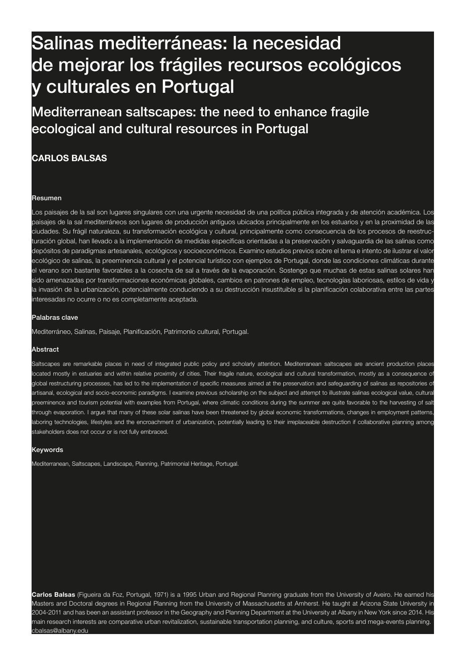# 106 Salinas mediterráneas: la necesidad de mejorar los frágiles recursos ecológicos **CARLOS BALSAS** Salinas mediterráneas: y culturales en Portugal

### Maditarrs Mediterranean saltscapes: the need to enhance fragile acologica ecological and cultural resources in Portugal

# Portugal **CARLOS BALSAS**

#### Resumen

Los paisajes de la sal son lugares singulares con una urgente necesidad de una política pública integrada y de atención académica. Los paisajes de la sal mediterráneos son lugares de producción antiguos ubicados principalmente en los estuarios y en la proximidad de las ciudades. Su frágil naturaleza, su transformación ecológica y cultural, principalmente como consecuencia de los procesos de reestructuración global, han llevado a la implementación de medidas específicas orientadas a la preservación y salvaguardia de las salinas como depósitos de paradigmas artesanales, ecológicos y socioeconómicos. Examino estudios previos sobre el tema e intento de ilustrar el valor ecológico de salinas, la preeminencia cultural y el potencial turístico con ejemplos de Portugal, donde las condiciones climáticas durante el verano son bastante favorables a la cosecha de sal a través de la evaporación. Sostengo que muchas de estas salinas solares han sido amenazadas por transformaciones económicas globales, cambios en patrones de empleo, tecnologías laboriosas, estilos de vida y la invasión de la urbanización, potencialmente conduciendo a su destrucción insustituible si la planificación colaborativa entre las partes interesadas no ocurre o no es completamente aceptada.

#### Palabras clave

Mediterráneo, Salinas, Paisaje, Planificación, Patrimonio cultural, Portugal.

#### Abstract

Saltscapes are remarkable places in need of integrated public policy and scholarly attention. Mediterranean saltscapes are ancient production places located mostly in estuaries and within relative proximity of cities. Their fragile nature, ecological and cultural transformation, mostly as a consequence of global restructuring processes, has led to the implementation of specific measures aimed at the preservation and safeguarding of salinas as repositories of artisanal, ecological and socio-economic paradigms. I examine previous scholarship on the subject and attempt to illustrate salinas ecological value, cultural preeminence and tourism potential with examples from Portugal, where climatic conditions during the summer are quite favorable to the harvesting of salt through evaporation. I argue that many of these solar salinas have been threatened by global economic transformations, changes in employment patterns laboring technologies, lifestyles and the encroachment of urbanization, potentially leading to their irreplaceable destruction if collaborative planning among stakeholders does not occur or is not fully embraced.

#### Keywords

Mediterranean, Saltscapes, Landscape, Planning, Patrimonial Heritage, Portugal.

**Carlos Balsas** (Figueira da Foz, Portugal, 1971) is a 1995 Urban and Regional Planning graduate from the University of Aveiro. He earned his Masters and Doctoral degrees in Regional Planning from the University of Massachusetts at Amherst. He taught at Arizona State University in 2004-2011 and has been an assistant professor in the Geography and Planning Department at the University at Albany in New York since 2014. His main research interests are comparative urban revitalization, sustainable transportation planning, and culture, sports and mega-events planning. cbalsas@albany.edu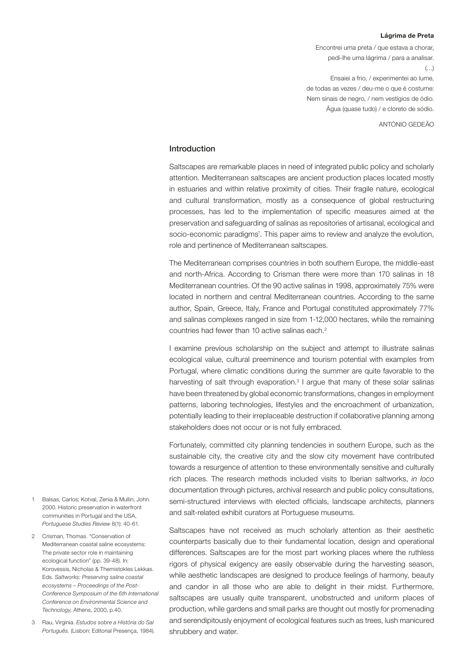#### **Lágrima de Preta**

Encontrei uma preta / que estava a chorar, pedi-lhe uma lágrima / para a analisar.  $(\ldots)$ Ensaiei a frio, / experimentei ao lume, de todas as vezes / deu-me o que é costume: Nem sinais de negro, / nem vestígios de ódio.

Água (quase tudo) / e cloreto de sódio.

ANTÓNIO GEDEÃO

### Introduction

Saltscapes are remarkable places in need of integrated public policy and scholarly attention. Mediterranean saltscapes are ancient production places located mostly in estuaries and within relative proximity of cities. Their fragile nature, ecological and cultural transformation, mostly as a consequence of global restructuring processes, has led to the implementation of specific measures aimed at the preservation and safeguarding of salinas as repositories of artisanal, ecological and socio-economic paradigms<sup>1</sup>. This paper aims to review and analyze the evolution, role and pertinence of Mediterranean saltscapes.

The Mediterranean comprises countries in both southern Europe, the middle-east and north-Africa. According to Crisman there were more than 170 salinas in 18 Mediterranean countries. Of the 90 active salinas in 1998, approximately 75% were located in northern and central Mediterranean countries. According to the same author, Spain, Greece, Italy, France and Portugal constituted approximately 77% and salinas complexes ranged in size from 1-12,000 hectares, while the remaining countries had fewer than 10 active salinas each.2

I examine previous scholarship on the subject and attempt to illustrate salinas ecological value, cultural preeminence and tourism potential with examples from Portugal, where climatic conditions during the summer are quite favorable to the harvesting of salt through evaporation.<sup>3</sup> I argue that many of these solar salinas have been threatened by global economic transformations, changes in employment patterns, laboring technologies, lifestyles and the encroachment of urbanization, potentially leading to their irreplaceable destruction if collaborative planning among stakeholders does not occur or is not fully embraced.

Fortunately, committed city planning tendencies in southern Europe, such as the sustainable city, the creative city and the slow city movement have contributed towards a resurgence of attention to these environmentally sensitive and culturally rich places. The research methods included visits to Iberian saltworks, *in loco* documentation through pictures, archival research and public policy consultations, semi-structured interviews with elected officials, landscape architects, planners and salt-related exhibit curators at Portuguese museums.

Saltscapes have not received as much scholarly attention as their aesthetic counterparts basically due to their fundamental location, design and operational differences. Saltscapes are for the most part working places where the ruthless rigors of physical exigency are easily observable during the harvesting season, while aesthetic landscapes are designed to produce feelings of harmony, beauty and candor in all those who are able to delight in their midst. Furthermore, saltscapes are usually quite transparent, unobstructed and uniform places of production, while gardens and small parks are thought out mostly for promenading and serendipitously enjoyment of ecological features such as trees, lush manicured shrubbery and water.

- 1 Balsas, Carlos; Kotval, Zenia & Mullin, John. 2000. Historic preservation in waterfront communities in Portugal and the USA, *Portuguese Studies Review* 8(1): 40-61.
- 2 Crisman, Thomas. "Conservation of Mediterranean coastal saline ecosystems: The private sector role in maintaining ecological function" (pp. 39-48). In: Korovessis, Nicholas & Themistokles Lekkas. Eds. *Saltworks: Preserving saline coastal ecosystems – Proceedings of the Post-Conference Symposium of the 6th International Conference on Environmental Science and Technology,* Athens, 2000, p.40.
- 3 Rau, Virginia. *Estudos sobre a História do Sal Português*. (Lisbon: Editorial Presença, 1984).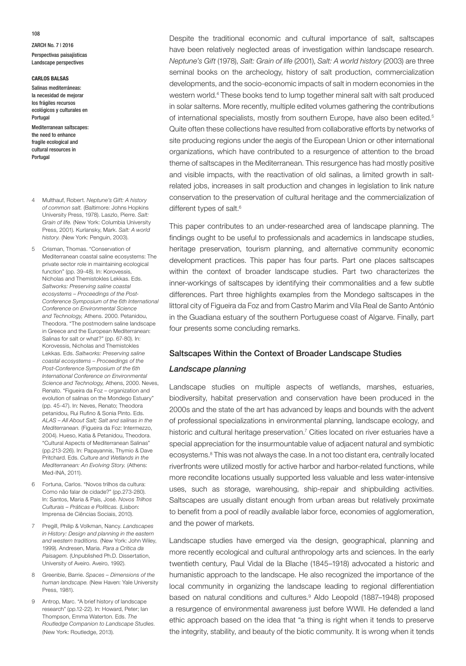### **CARLOS BALSAS**

Salinas mediterráneas: la necesidad de mejorar los frágiles recursos ecológicos y culturales en Portugal

Mediterranean saltscapes: the need to enhance fragile ecological and cultural resources in Portugal

- 4 Multhauf, Robert. *Neptune's Gift: A history of common salt.* (Baltimore: Johns Hopkins University Press, 1978). Laszlo, Pierre. *Salt: Grain of life.* (New York: Columbia University Press, 2001). Kurlansky, Mark. *Salt: A world history.* (New York: Penguin, 2003).
- 5 Crisman, Thomas. "Conservation of Mediterranean coastal saline ecosystems: The private sector role in maintaining ecological function" (pp. 39-48). In: Korovessis, Nicholas and Themistokles Lekkas. Eds. *Saltworks: Preserving saline coastal ecosystems – Proceedings of the Post-Conference Symposium of the 6th International Conference on Environmental Science and Technology,* Athens. 2000. Petanidou, Theodora. "The postmodern saline landscape in Greece and the European Mediterranean: Salinas for salt or what?" (pp. 67-80). In: Korovessis, Nicholas and Themistokles Lekkas. Eds. *Saltworks: Preserving saline coastal ecosystems – Proceedings of the Post-Conference Symposium of the 6th International Conference on Environmental Science and Technology,* Athens, 2000. Neves, Renato. "Figueira da Foz – organization and evolution of salinas on the Mondego Estuary" (pp. 45-47). In: Neves, Renato; Theodora petanidou, Rui Rufino & Sonia Pinto. Eds. *ALAS – All About Salt; Salt and salinas in the Mediterranean.* (Figueira da Foz: Intermezzo, 2004). Hueso, Katia & Petanidou, Theodora. "Cultural Aspects of Mediterranean Salinas" (pp.213-226). In: Papayannis, Thymio & Dave Pritchard. Eds. *Culture and Wetlands in the Mediterranean: An Evolving Story.* (Athens: Med-INA, 2011).
- 6 Fortuna, Carlos. "Novos trilhos da cultura: Como não falar de cidade?" (pp.273-280). In: Santos, Maria & Pais, José. *Novos Trilhos Culturais – Práticas e Políticas.* (Lisbon: Imprensa de Ciências Sociais, 2010).
- 7 Pregill, Philip & Volkman, Nancy. *Landscapes in History: Design and planning in the eastern and western traditions.* (New York: John Wiley, 1999). Andresen, Maria. *Para a Crítica da Paisagem.* (Unpublished Ph.D. Dissertation, University of Aveiro. Aveiro, 1992).
- 8 Greenbie, Barrie. *Spaces Dimensions of the human landscape.* (New Haven: Yale University Press, 1981).
- 9 Antrop, Marc. "A brief history of landscape research" (pp.12-22). In: Howard, Peter; Ian Thompson, Emma Waterton. Eds. *The Routledge Companion to Landscape Studies.* (New York: Routledge, 2013).

Despite the traditional economic and cultural importance of salt, saltscapes have been relatively neglected areas of investigation within landscape research. *Neptune's Gift* (1978), *Salt: Grain of life* (2001), *Salt: A world history* (2003) are three seminal books on the archeology, history of salt production, commercialization developments, and the socio-economic impacts of salt in modern economies in the western world.4 These books tend to lump together mineral salt with salt produced in solar salterns. More recently, multiple edited volumes gathering the contributions of international specialists, mostly from southern Europe, have also been edited.<sup>5</sup> Quite often these collections have resulted from collaborative efforts by networks of site producing regions under the aegis of the European Union or other international organizations, which have contributed to a resurgence of attention to the broad theme of saltscapes in the Mediterranean. This resurgence has had mostly positive and visible impacts, with the reactivation of old salinas, a limited growth in saltrelated jobs, increases in salt production and changes in legislation to link nature conservation to the preservation of cultural heritage and the commercialization of different types of salt.<sup>6</sup>

This paper contributes to an under-researched area of landscape planning. The findings ought to be useful to professionals and academics in landscape studies, heritage preservation, tourism planning, and alternative community economic development practices. This paper has four parts. Part one places saltscapes within the context of broader landscape studies. Part two characterizes the inner-workings of saltscapes by identifying their commonalities and a few subtle differences. Part three highlights examples from the Mondego saltscapes in the littoral city of Figueira da Foz and from Castro Marim and Vila Real de Santo António in the Guadiana estuary of the southern Portuguese coast of Algarve. Finally, part four presents some concluding remarks.

### Saltscapes Within the Context of Broader Landscape Studies

### *Landscape planning*

Landscape studies on multiple aspects of wetlands, marshes, estuaries, biodiversity, habitat preservation and conservation have been produced in the 2000s and the state of the art has advanced by leaps and bounds with the advent of professional specializations in environmental planning, landscape ecology, and historic and cultural heritage preservation.<sup>7</sup> Cities located on river estuaries have a special appreciation for the insurmountable value of adjacent natural and symbiotic ecosystems.<sup>8</sup> This was not always the case. In a not too distant era, centrally located riverfronts were utilized mostly for active harbor and harbor-related functions, while more recondite locations usually supported less valuable and less water-intensive uses, such as storage, warehousing, ship-repair and shipbuilding activities. Saltscapes are usually distant enough from urban areas but relatively proximate to benefit from a pool of readily available labor force, economies of agglomeration, and the power of markets.

Landscape studies have emerged via the design, geographical, planning and more recently ecological and cultural anthropology arts and sciences. In the early twentieth century, Paul Vidal de la Blache (1845–1918) advocated a historic and humanistic approach to the landscape. He also recognized the importance of the local community in organizing the landscape leading to regional differentiation based on natural conditions and cultures.<sup>9</sup> Aldo Leopold (1887–1948) proposed a resurgence of environmental awareness just before WWII. He defended a land ethic approach based on the idea that "a thing is right when it tends to preserve the integrity, stability, and beauty of the biotic community. It is wrong when it tends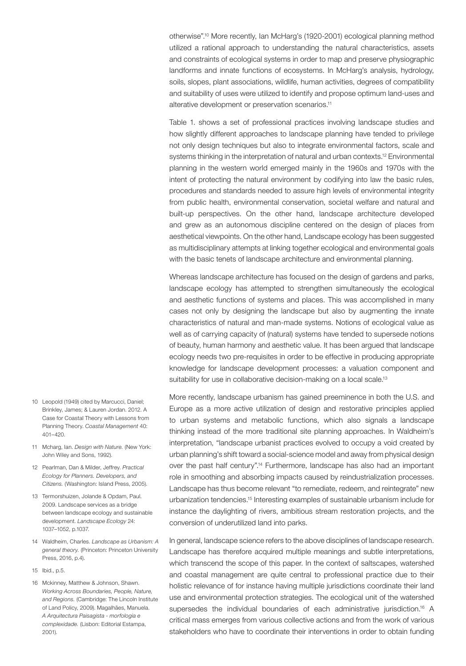otherwise".10 More recently, Ian McHarg's (1920-2001) ecological planning method utilized a rational approach to understanding the natural characteristics, assets and constraints of ecological systems in order to map and preserve physiographic landforms and innate functions of ecosystems. In McHarg's analysis, hydrology, soils, slopes, plant associations, wildlife, human activities, degrees of compatibility and suitability of uses were utilized to identify and propose optimum land-uses and alterative development or preservation scenarios.11

Table 1. shows a set of professional practices involving landscape studies and how slightly different approaches to landscape planning have tended to privilege not only design techniques but also to integrate environmental factors, scale and systems thinking in the interpretation of natural and urban contexts.<sup>12</sup> Environmental planning in the western world emerged mainly in the 1960s and 1970s with the intent of protecting the natural environment by codifying into law the basic rules, procedures and standards needed to assure high levels of environmental integrity from public health, environmental conservation, societal welfare and natural and built-up perspectives. On the other hand, landscape architecture developed and grew as an autonomous discipline centered on the design of places from aesthetical viewpoints. On the other hand, Landscape ecology has been suggested as multidisciplinary attempts at linking together ecological and environmental goals with the basic tenets of landscape architecture and environmental planning.

Whereas landscape architecture has focused on the design of gardens and parks, landscape ecology has attempted to strengthen simultaneously the ecological and aesthetic functions of systems and places. This was accomplished in many cases not only by designing the landscape but also by augmenting the innate characteristics of natural and man-made systems. Notions of ecological value as well as of carrying capacity of (natural) systems have tended to supersede notions of beauty, human harmony and aesthetic value. It has been argued that landscape ecology needs two pre-requisites in order to be effective in producing appropriate knowledge for landscape development processes: a valuation component and suitability for use in collaborative decision-making on a local scale.<sup>13</sup>

More recently, landscape urbanism has gained preeminence in both the U.S. and Europe as a more active utilization of design and restorative principles applied to urban systems and metabolic functions, which also signals a landscape thinking instead of the more traditional site planning approaches. In Waldheim's interpretation, "landscape urbanist practices evolved to occupy a void created by urban planning's shift toward a social-science model and away from physical design over the past half century".<sup>14</sup> Furthermore, landscape has also had an important role in smoothing and absorbing impacts caused by reindustrialization processes. Landscape has thus become relevant "to remediate, redeem, and reintegrate" new urbanization tendencies.15 Interesting examples of sustainable urbanism include for instance the daylighting of rivers, ambitious stream restoration projects, and the conversion of underutilized land into parks.

In general, landscape science refers to the above disciplines of landscape research. Landscape has therefore acquired multiple meanings and subtle interpretations, which transcend the scope of this paper. In the context of saltscapes, watershed and coastal management are quite central to professional practice due to their holistic relevance of for instance having multiple jurisdictions coordinate their land use and environmental protection strategies. The ecological unit of the watershed supersedes the individual boundaries of each administrative jurisdiction.<sup>16</sup> A critical mass emerges from various collective actions and from the work of various stakeholders who have to coordinate their interventions in order to obtain funding

- 10 Leopold (1949) cited by Marcucci, Daniel; Brinkley, James; & Lauren Jordan. 2012. A Case for Coastal Theory with Lessons from Planning Theory. *Coastal Management* 40: 401–420.
- 11 Mcharg, Ian. *Design with Nature.* (New York: John Wiley and Sons, 1992).
- 12 Pearlman, Dan & Milder, Jeffrey. *Practical Ecology for Planners. Developers, and Citizens.* (Washington: Island Press, 2005).
- 13 Termorshuizen, Jolande & Opdam, Paul. 2009. Landscape services as a bridge between landscape ecology and sustainable development. *Landscape Ecology* 24: 1037–1052, p.1037.
- 14 Waldheim, Charles. *Landscape as Urbanism: A general theory.* (Princeton: Princeton University Press, 2016, p.4).
- 15 Ibid., p.5.
- 16 Mckinney, Matthew & Johnson, Shawn. *Working Across Boundaries, People, Nature, and Regions.* (Cambridge: The Lincoln Institute of Land Policy, 2009). Magalhães, Manuela. *A Arquitectura Paisagista - morfologia e complexidade.* (Lisbon: Editorial Estampa, 2001).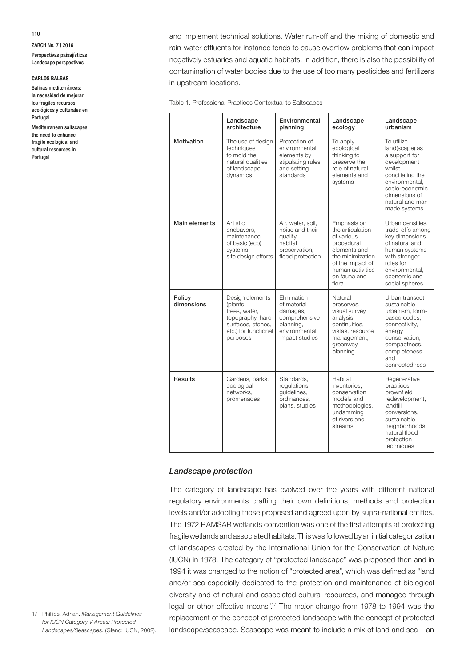ZARCH No. 7 | 2016 Perspectivas paisajísticas

Landscape perspectives

### **CARLOS BALSAS**

Salinas mediterráneas: la necesidad de mejorar los frágiles recursos ecológicos y culturales en Portugal

Mediterranean saltscapes: the need to enhance fragile ecological and cultural resources in Portugal

and implement technical solutions. Water run-off and the mixing of domestic and rain-water effluents for instance tends to cause overflow problems that can impact negatively estuaries and aquatic habitats. In addition, there is also the possibility of contamination of water bodies due to the use of too many pesticides and fertilizers in upstream locations.

Table 1. Professional Practices Contextual to Saltscapes

|                      | Landscape<br>architecture                                                                                                 | Environmental<br>planning                                                                               | Landscape<br>ecology                                                                                                                                             | Landscape<br>urbanism                                                                                                                                                               |
|----------------------|---------------------------------------------------------------------------------------------------------------------------|---------------------------------------------------------------------------------------------------------|------------------------------------------------------------------------------------------------------------------------------------------------------------------|-------------------------------------------------------------------------------------------------------------------------------------------------------------------------------------|
| Motivation           | The use of design<br>techniques<br>to mold the<br>natural qualities<br>of landscape<br>dynamics                           | Protection of<br>environmental<br>elements by<br>stipulating rules<br>and setting<br>standards          | To apply<br>ecological<br>thinking to<br>preserve the<br>role of natural<br>elements and<br>systems                                                              | To utilize<br>land(scape) as<br>a support for<br>development<br>whilst<br>conciliating the<br>environmental,<br>socio-economic<br>dimensions of<br>natural and man-<br>made systems |
| Main elements        | Artistic<br>endeavors,<br>maintenance<br>of basic (eco)<br>systems,<br>site design efforts                                | Air, water, soil,<br>noise and their<br>quality,<br>habitat<br>preservation,<br>flood protection        | Emphasis on<br>the articulation<br>of various<br>procedural<br>elements and<br>the minimization<br>of the impact of<br>human activities<br>on fauna and<br>flora | Urban densities,<br>trade-offs among<br>key dimensions<br>of natural and<br>human systems<br>with stronger<br>roles for<br>environmental,<br>economic and<br>social spheres         |
| Policy<br>dimensions | Design elements<br>(plants,<br>trees, water,<br>topography, hard<br>surfaces, stones,<br>etc.) for functional<br>purposes | Elimination<br>of material<br>damages,<br>comprehensive<br>planning,<br>environmental<br>impact studies | Natural<br>preserves,<br>visual survey<br>analysis.<br>continuities.<br>vistas, resource<br>management,<br>greenway<br>planning                                  | Urban transect<br>sustainable<br>urbanism, form-<br>based codes.<br>connectivity,<br>energy<br>conservation,<br>compactness,<br>completeness<br>and<br>connectedness                |
| <b>Results</b>       | Gardens, parks,<br>ecological<br>networks,<br>promenades                                                                  | Standards,<br>regulations,<br>quidelines,<br>ordinances,<br>plans, studies                              | Habitat<br>inventories.<br>conservation<br>models and<br>methodologies,<br>undamming<br>of rivers and<br>streams                                                 | Regenerative<br>practices,<br>brownfield<br>redevelopment,<br>landfill<br>conversions,<br>sustainable<br>neighborhoods,<br>natural flood<br>protection<br>techniques                |

# *Landscape protection*

The category of landscape has evolved over the years with different national regulatory environments crafting their own definitions, methods and protection levels and/or adopting those proposed and agreed upon by supra-national entities. The 1972 RAMSAR wetlands convention was one of the first attempts at protecting fragile wetlands and associated habitats. This was followed by an initial categorization of landscapes created by the International Union for the Conservation of Nature (IUCN) in 1978. The category of "protected landscape" was proposed then and in 1994 it was changed to the notion of "protected area", which was defined as "land and/or sea especially dedicated to the protection and maintenance of biological diversity and of natural and associated cultural resources, and managed through legal or other effective means".<sup>17</sup> The major change from 1978 to 1994 was the replacement of the concept of protected landscape with the concept of protected landscape/seascape. Seascape was meant to include a mix of land and sea – an

17 Phillips, Adrian. *Management Guidelines for IUCN Category V Areas: Protected Landscapes/Seascapes.* (Gland: IUCN, 2002).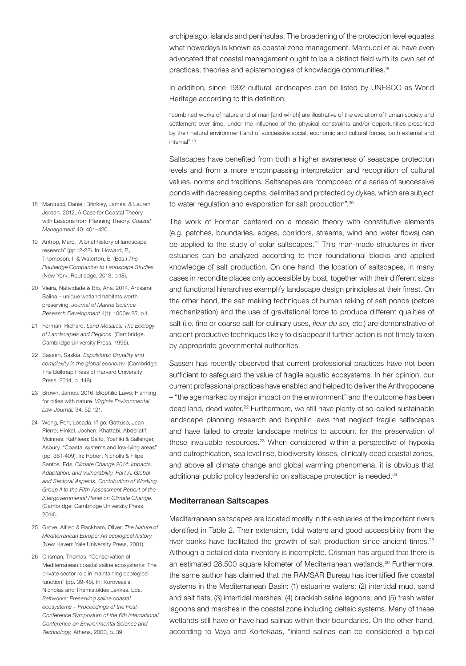archipelago, islands and peninsulas. The broadening of the protection level equates what nowadays is known as coastal zone management. Marcucci et al. have even advocated that coastal management ought to be a distinct field with its own set of practices, theories and epistemologies of knowledge communities.18

In addition, since 1992 cultural landscapes can be listed by UNESCO as World Heritage according to this definition:

"combined works of nature and of man [and which] are illustrative of the evolution of human society and settlement over time, under the influence of the physical constraints and/or opportunities presented by their natural environment and of successive social, economic and cultural forces, both external and internal".19

Saltscapes have benefited from both a higher awareness of seascape protection levels and from a more encompassing interpretation and recognition of cultural values, norms and traditions. Saltscapes are "composed of a series of successive ponds with decreasing depths, delimited and protected by dykes, which are subject to water regulation and evaporation for salt production".20

The work of Forman centered on a mosaic theory with constitutive elements (e.g. patches, boundaries, edges, corridors, streams, wind and water flows) can be applied to the study of solar saltscapes.<sup>21</sup> This man-made structures in river estuaries can be analyzed according to their foundational blocks and applied knowledge of salt production. On one hand, the location of saltscapes, in many cases in recondite places only accessible by boat, together with their different sizes and functional hierarchies exemplify landscape design principles at their finest. On the other hand, the salt making techniques of human raking of salt ponds (before mechanization) and the use of gravitational force to produce different qualities of salt (i.e. fine or coarse salt for culinary uses, *fleur du sel,* etc.) are demonstrative of ancient productive techniques likely to disappear if further action is not timely taken by appropriate governmental authorities.

Sassen has recently observed that current professional practices have not been sufficient to safeguard the value of fragile aquatic ecosystems. In her opinion, our current professional practices have enabled and helped to deliver the Anthropocene – "the age marked by major impact on the environment" and the outcome has been dead land, dead water.<sup>22</sup> Furthermore, we still have plenty of so-called sustainable landscape planning research and biophilic laws that neglect fragile saltscapes and have failed to create landscape metrics to account for the preservation of these invaluable resources.23 When considered within a perspective of hypoxia and eutrophication, sea level rise, biodiversity losses, clinically dead coastal zones, and above all climate change and global warming phenomena, it is obvious that additional public policy leadership on saltscape protection is needed.<sup>24</sup>

### Mediterranean Saltscapes

Mediterranean saltscapes are located mostly in the estuaries of the important rivers identified in Table 2. Their extension, tidal waters and good accessibility from the river banks have facilitated the growth of salt production since ancient times.<sup>25</sup> Although a detailed data inventory is incomplete, Crisman has argued that there is an estimated 28,500 square kilometer of Mediterranean wetlands.<sup>26</sup> Furthermore, the same author has claimed that the RAMSAR Bureau has identified five coastal systems in the Mediterranean Basin: (1) estuarine waters; (2) intertidal mud, sand and salt flats; (3) intertidal marshes; (4) brackish saline lagoons; and (5) fresh water lagoons and marshes in the coastal zone including deltaic systems. Many of these wetlands still have or have had salinas within their boundaries. On the other hand, according to Vaya and Kortekaas, "inland salinas can be considered a typical

- 18 Marcucci, Daniel; Brinkley, James; & Lauren Jordan. 2012. A Case for Coastal Theory with Lessons from Planning Theory. *Coastal Management* 40: 401–420.
- 19 Antrop, Marc. "A brief history of landscape research" (pp.12-22). In: Howard, P., Thompson, I. & Waterton, E. (Eds.) *The Routledge Companion to Landscape Studies.* (New York: Routledge, 2013, p.18).
- 20 Vieira, Natividade & Bio, Ana. 2014. Artisanal Salina – unique wetland habitats worth preserving. *Journal of Marine Science Research Development* 4(1): 1000e125, p.1.
- 21 Forman, Richard. *Land Mosaics: The Ecology of Landscapes and Regions.* (Cambridge. Cambridge University Press, 1996).
- 22 Sassen, Saskia. *Expulsions: Brutality and complexity in the global economy.* (Cambridge: The Belknap Press of Harvard University Press, 2014, p. 149).
- 23 Brown, James. 2016. Biophilic Laws: Planning for cities with nature. *Virginia Environmental Law Journal,* 34: 52-121.
- 24 Wong, Poh; Losada, Iñigo; Gattuso, Jean-Pierre; Hinkel, Jochen; Khattabi, Abdellatif; Mcinnes, Kathleen; Saito, Yoshiki & Sallenger, Asbury. "Coastal systems and low-lying areas" (pp. 361-409). In: Robert Nicholls & Filipe Santos. Eds. *Climate Change 2014: Impacts, Adaptation, and Vulnerability. Part A: Global and Sectoral Aspects. Contribution of Working Group II to the Fifth Assessment Report of the Intergovernmental Panel on Climate Change.*  (Cambridge: Cambridge University Press, 2014).
- 25 Grove, Alfred & Rackham, Oliver. *The Nature of Mediterranean Europe: An ecological history.* (New Haven: Yale University Press, 2001).
- 26 Crisman, Thomas. "Conservation of Mediterranean coastal saline ecosystems: The private sector role in maintaining ecological function" (pp. 39-48). In: Korovessis, Nicholas and Themistokles Lekkas. Eds. *Saltworks: Preserving saline coastal ecosystems – Proceedings of the Post-Conference Symposium of the 6th International Conference on Environmental Science and Technology,* Athens, 2000, p. 39.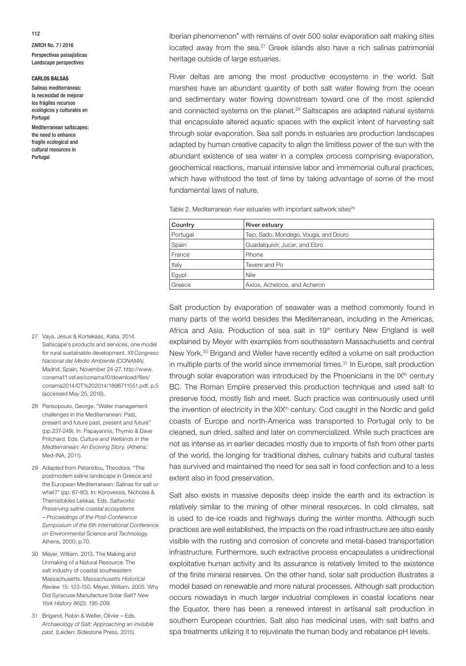#### **CARLOS BALSAS**

Salinas mediterráneas: la necesidad de mejorar los frágiles recursos ecológicos y culturales en Portugal

Mediterranean saltscapes: the need to enhance fragile ecological and cultural resources in Portugal

Iberian phenomenon" with remains of over 500 solar evaporation salt making sites located away from the sea.<sup>27</sup> Greek islands also have a rich salinas patrimonial heritage outside of large estuaries.

River deltas are among the most productive ecosystems in the world. Salt marshes have an abundant quantity of both salt water flowing from the ocean and sedimentary water flowing downstream toward one of the most splendid and connected systems on the planet.<sup>28</sup> Saltscapes are adapted natural systems that encapsulate altered aquatic spaces with the explicit intent of harvesting salt through solar evaporation. Sea salt ponds in estuaries are production landscapes adapted by human creative capacity to align the limitless power of the sun with the abundant existence of sea water in a complex process comprising evaporation, geochemical reactions, manual intensive labor and immemorial cultural practices, which have withstood the test of time by taking advantage of some of the most fundamental laws of nature.

Table 2. Mediterranean river estuaries with important saltwork sites<sup>29</sup>

| Country  | <b>River estuary</b>                  |  |
|----------|---------------------------------------|--|
| Portugal | Tejo, Sado, Mondego, Vouga, and Douro |  |
| Spain    | Guadalguivir, Jucar, and Ebro         |  |
| France   | Rhone                                 |  |
| Italy    | Tevere and Po                         |  |
| Egypt    | <b>Nile</b>                           |  |
| Greece   | Axios, Acheloos, and Acheron          |  |

27 Vaya, Jesus & Kortekaas, Katia. 2014. Saltscape's products and services, one model for rural sustainable development. *XII Congreso Nacional del Medio Ambiente (CONAMA).*  Madrid, Spain, November 24-27. http://www. conama11.vsf.es/conama10/download/files/ conama2014/CT%202014/1896711551.pdf. p.5 (accessed May 25, 2016).

- 28 Parisopoulo, George. "Water management challenges in the Mediterranean: Past, present and future past, present and future" (pp.237-249). In: Papayannis, Thymio & Dave Pritchard. Eds. *Culture and Wetlands in the Mediterranean: An Evolving Story.* (Athens: Med-INA, 2011).
- 29 Adapted from Petanidou, Theodora. "The postmodern saline landscape in Greece and the European Mediterranean: Salinas for salt or what?" (pp. 67-80). In: Korovessis, Nicholas & Themistokles Lekkas. Eds. *Saltworks: Preserving saline coastal ecosystems – Proceedings of the Post-Conference Symposium of the 6th International Conference on Environmental Science and Technology,* Athens, 2000, p.70.
- 30 Meyer, William. 2013. The Making and Unmaking of a Natural Resource: The salt industry of coastal southeastern Massachusetts. *Massachusetts Historical Review* 15: 123-150. Meyer, William. 2005. Why Did Syracuse Manufacture Solar Salt? *New York History* 86(2): 195-209.
- 31 Brigand, Robin & Weller, Olivier Eds. *Archaeology of Salt: Approaching an invisible past.* (Leiden: Sidestone Press, 2015).

Salt production by evaporation of seawater was a method commonly found in many parts of the world besides the Mediterranean, including in the Americas, Africa and Asia. Production of sea salt in 19<sup>th</sup> century New England is well explained by Meyer with examples from southeastern Massachusetts and central New York.<sup>30</sup> Brigand and Weller have recently edited a volume on salt production in multiple parts of the world since immemorial times.<sup>31</sup> In Europe, salt production through solar evaporation was introduced by the Phoenicians in the  $IX<sup>th</sup>$  century BC. The Roman Empire preserved this production technique and used salt to preserve food, mostly fish and meet. Such practice was continuously used until the invention of electricity in the XIX<sup>th</sup> century. Cod caught in the Nordic and gelid coasts of Europe and north-America was transported to Portugal only to be cleaned, sun dried, salted and later on commercialized. While such practices are not as intense as in earlier decades mostly due to imports of fish from other parts of the world, the longing for traditional dishes, culinary habits and cultural tastes has survived and maintained the need for sea salt in food confection and to a less extent also in food preservation.

Salt also exists in massive deposits deep inside the earth and its extraction is relatively similar to the mining of other mineral resources. In cold climates, salt is used to de-ice roads and highways during the winter months. Although such practices are well established, the impacts on the road infrastructure are also easily visible with the rusting and corrosion of concrete and metal-based transportation infrastructure. Furthermore, such extractive process encapsulates a unidirectional exploitative human activity and its assurance is relatively limited to the existence of the finite mineral reserves. On the other hand, solar salt production illustrates a model based on renewable and more natural processes. Although salt production occurs nowadays in much larger industrial complexes in coastal locations near the Equator, there has been a renewed interest in artisanal salt production in southern European countries. Salt also has medicinal uses, with salt baths and spa treatments utilizing it to rejuvenate the human body and rebalance pH levels.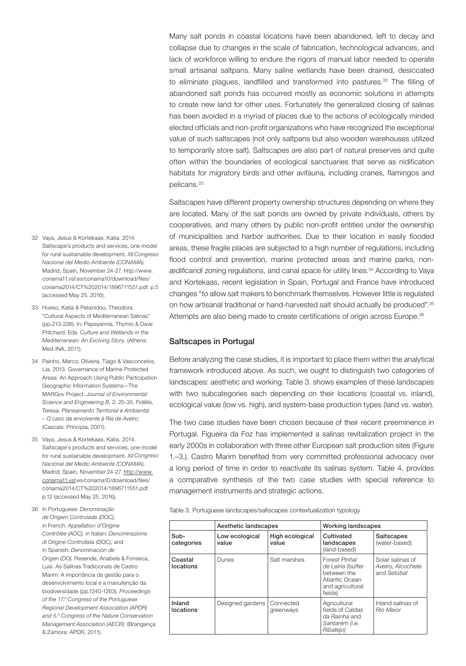Many salt ponds in coastal locations have been abandoned, left to decay and collapse due to changes in the scale of fabrication, technological advances, and lack of workforce willing to endure the rigors of manual labor needed to operate small artisanal saltpans. Many saline wetlands have been drained, desiccated to eliminate plagues, landfilled and transformed into pastures.<sup>32</sup> The filling of abandoned salt ponds has occurred mostly as economic solutions in attempts to create new land for other uses. Fortunately the generalized closing of salinas has been avoided in a myriad of places due to the actions of ecologically minded elected officials and non-profit organizations who have recognized the exceptional value of such saltscapes (not only saltpans but also wooden warehouses utilized to temporarily store salt). Saltscapes are also part of natural preserves and quite often within the boundaries of ecological sanctuaries that serve as nidification habitats for migratory birds and other avifauna, including cranes, flamingos and pelicans.<sup>33</sup>

Saltscapes have different property ownership structures depending on where they are located. Many of the salt ponds are owned by private individuals, others by cooperatives, and many others by public non-profit entities under the ownership of municipalities and harbor authorities. Due to their location in easily flooded areas, these fragile places are subjected to a high number of regulations, including flood control and prevention, marine protected areas and marine parks, non*ædificandi* zoning regulations, and canal space for utility lines.34 According to Vaya and Kortekaas, recent legislation in Spain, Portugal and France have introduced changes "to allow salt makers to benchmark themselves. However little is regulated on how artisanal traditional or hand-harvested salt should actually be produced".35 Attempts are also being made to create certifications of origin across Europe.<sup>36</sup>

## Saltscapes in Portugal

Before analyzing the case studies, it is important to place them within the analytical framework introduced above. As such, we ought to distinguish two categories of landscapes: aesthetic and working. Table 3. shows examples of these landscapes with two subcategories each depending on their locations (coastal vs. inland), ecological value (low vs. high), and system-base production types (land vs. water).

The two case studies have been chosen because of their recent preeminence in Portugal. Figueira da Foz has implemented a salinas revitalization project in the early 2000s in collaboration with three other European salt production sites (Figure 1.–3.). Castro Marim benefited from very committed professional advocacy over a long period of time in order to reactivate its salinas system. Table 4. provides a comparative synthesis of the two case studies with special reference to management instruments and strategic actions.

|                      | Aesthetic landscapes    |                          | <b>Working landscapes</b>                                                                          |                                                      |
|----------------------|-------------------------|--------------------------|----------------------------------------------------------------------------------------------------|------------------------------------------------------|
| Sub-<br>categories   | Low ecological<br>value | High ecological<br>value | Cultivated<br>landscapes<br>(land-based)                                                           | Saltscapes<br>(water-based)                          |
| Coastal<br>locations | Dunes                   | Salt marshes             | Forest Pinhal<br>de Leiria (buffer<br>between the<br>Atlantic Ocean<br>and agricultural<br>fields) | Solar salinas of<br>Aveiro, Alcochete<br>and Setúbal |
| Inland<br>locations  | Designed gardens        | Connected<br>greenways   | Agricultural<br>fields of Caldas<br>da Rainha and<br>Santarém (i.e.<br>Ribatejo)                   | Inland salinas of<br>Rio Maior                       |

- 32 Vaya, Jesus & Kortekaas, Katia. 2014. Saltscape's products and services, one model for rural sustainable development. *XII Congreso Nacional del Medio Ambiente (CONAMA).*  Madrid, Spain, November 24-27. http://www. conama11.vsf.es/conama10/download/files/ conama2014/CT%202014/1896711551.pdf. p.5 (accessed May 25, 2016).
- 33 Hueso, Katia & Petanidou, Theodora. "Cultural Aspects of Mediterranean Salinas" (pp.213-226). In: Papayannis, Thymio & Dave Pritchard. Eds. *Culture and Wetlands in the Mediterranean: An Evolving Story.* (Athens: Med-INA, 2011).
- 34 Painho, Marco; Oliveira, Tiago & Vasconcelos, Lia. 2013. Governance of Marine Protected Areas: An Approach Using Public Participation Geographic Information Systems—The MARGov Project. *Journal of Environmental Science and Engineering B,* 2: 25-35. Fidélis, Teresa. *Planeamento Territorial e Ambiental – O caso da envolvente à Ria de Aveiro.*  (Cascais: Principia, 2001).
- 35 Vaya, Jesus & Kortekaas, Katia. 2014. Saltscape's products and services, one model for rural sustainable development. *XII Congreso Nacional del Medio Ambiente (CONAMA).*  Madrid, Spain, November 24-27. http://www. conama11.vsf.es/conama10/download/files/ conama2014/CT%202014/1896711551.pdf. p.12 (accessed May 25, 2016).
- 36 In Portuguese: *Denominação de Origem Controlada (DOC),*  in French: *Appellation d'Origine Contrôlée (AOC),* in Italian: *Denominazione di Origine Controllata (DOC),* and in Spanish: *Denominación de Origen (DO).* Resende, Anabela & Fonseca, Luis. As Salinas Tradicionais de Castro Marim: A importância da gestão para o desenvolvimento local e a manutenção da biodiversidade (pp.1240-1263). *Proceedings of the 17.º Congress of the Portuguese Regional Development Association (APDR) and 5.º Congress of the Nature Conservation Management Association (AECR).* (Brangança & Zamora: APDR, 2011).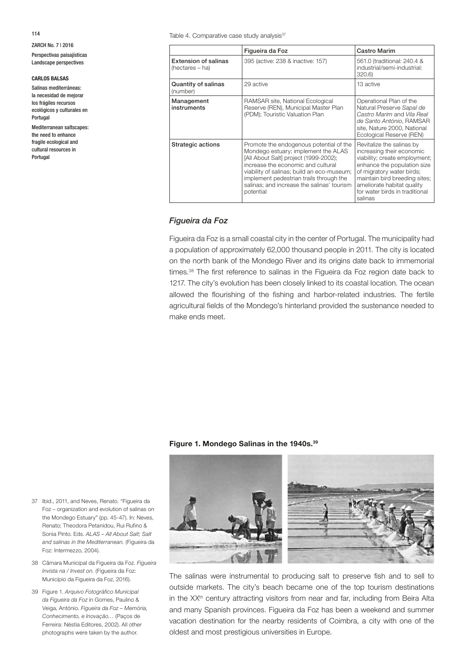114

ZARCH No. 7 | 2016 Perspectivas paisajísticas Landscape perspectives

#### **CARLOS BALSAS**

Salinas mediterráneas: la necesidad de mejorar los frágiles recursos ecológicos y culturales en Portugal

Mediterranean saltscapes: the need to enhance fragile ecological and cultural resources in Portugal

Table 4. Comparative case study analysis<sup>37</sup>

|                                                                                     | Figueira da Foz                                                                                                                                                                                                                                                                                                   | <b>Castro Marim</b>                                                                                                                                                                                                                                             |
|-------------------------------------------------------------------------------------|-------------------------------------------------------------------------------------------------------------------------------------------------------------------------------------------------------------------------------------------------------------------------------------------------------------------|-----------------------------------------------------------------------------------------------------------------------------------------------------------------------------------------------------------------------------------------------------------------|
| <b>Extension of salinas</b><br>395 (active: 238 & inactive: 157)<br>(hectares – ha) |                                                                                                                                                                                                                                                                                                                   | 561.0 (traditional: 240.4 &<br>industrial/semi-industrial:<br>320.6)                                                                                                                                                                                            |
| Quantity of salinas<br>(number)                                                     | 29 active                                                                                                                                                                                                                                                                                                         | 13 active                                                                                                                                                                                                                                                       |
| Management<br>instruments                                                           | RAMSAR site, National Ecological<br>Reserve (REN), Municipal Master Plan<br>(PDM); Touristic Valuation Plan                                                                                                                                                                                                       | Operational Plan of the<br>Natural Preserve Sapal de<br>Castro Marim and Vila Real<br>de Santo António, RAMSAR<br>site, Nature 2000, National<br>Ecological Reserve (REN)                                                                                       |
| Strategic actions                                                                   | Promote the endogenous potential of the<br>Mondego estuary; implement the ALAS<br>[All About Salt] project (1999-2002);<br>increase the economic and cultural<br>viability of salinas; build an eco-museum;<br>implement pedestrian trails through the<br>salinas: and increase the salinas' tourism<br>potential | Revitalize the salinas by<br>increasing their economic<br>viability; create employment;<br>enhance the population size<br>of migratory water birds;<br>maintain bird breeding sites;<br>ameliorate habitat quality<br>for water birds in traditional<br>salinas |

### *Figueira da Foz*

Figueira da Foz is a small coastal city in the center of Portugal. The municipality had a population of approximately 62,000 thousand people in 2011. The city is located on the north bank of the Mondego River and its origins date back to immemorial times.<sup>38</sup> The first reference to salinas in the Figueira da Foz region date back to 1217. The city's evolution has been closely linked to its coastal location. The ocean allowed the flourishing of the fishing and harbor-related industries. The fertile agricultural fields of the Mondego's hinterland provided the sustenance needed to make ends meet.

### **Figure 1. Mondego Salinas in the 1940s.39**



The salinas were instrumental to producing salt to preserve fish and to sell to outside markets. The city's beach became one of the top tourism destinations in the XX<sup>th</sup> century attracting visitors from near and far, including from Beira Alta and many Spanish provinces. Figueira da Foz has been a weekend and summer vacation destination for the nearby residents of Coimbra, a city with one of the oldest and most prestigious universities in Europe.

- 37 Ibid., 2011, and Neves, Renato. "Figueira da Foz – organization and evolution of salinas on the Mondego Estuary" (pp. 45-47). In: Neves, Renato; Theodora Petanidou, Rui Rufino & Sonia Pinto. Eds. *ALAS – All About Salt; Salt and salinas in the Mediterranean.* (Figueira da Foz: Intermezzo, 2004).
- 38 Câmara Municipal da Figueira da Foz. *Figueira Invista na / Invest on.* (Figueira da Foz: Município da Figueira da Foz, 2016).
- 39 Figure 1. *Arquivo Fotográfico Municipal da Figueira da Foz* in Gomes, Paulino & Veiga, António. *Figueira da Foz – Memória, Conhecimento, e Inovação…* (Paços de Ferreira: Néstia Editores, 2002). All other photographs were taken by the author.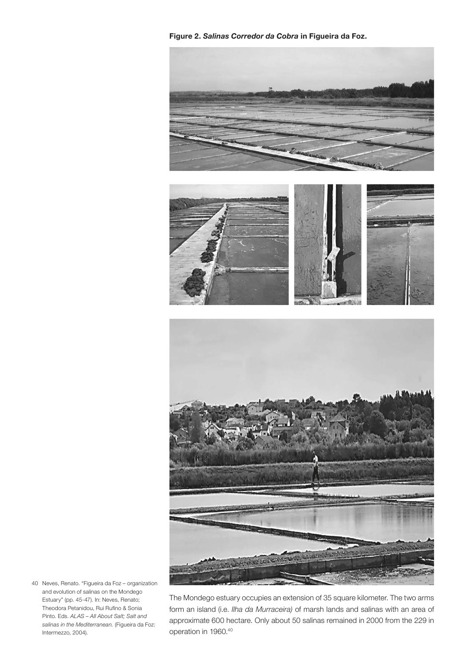**Figure 2.** *Salinas Corredor da Cobra* **in Figueira da Foz.**



40 Neves, Renato. "Figueira da Foz – organization and evolution of salinas on the Mondego Estuary" (pp. 45-47). In: Neves, Renato; Theodora Petanidou, Rui Rufino & Sonia Pinto. Eds. *ALAS – All About Salt; Salt and salinas in the Mediterranean.* (Figueira da Foz: Intermezzo, 2004).

The Mondego estuary occupies an extension of 35 square kilometer. The two arms form an island (i.e. *Ilha da Murraceira)* of marsh lands and salinas with an area of approximate 600 hectare. Only about 50 salinas remained in 2000 from the 229 in operation in 1960.40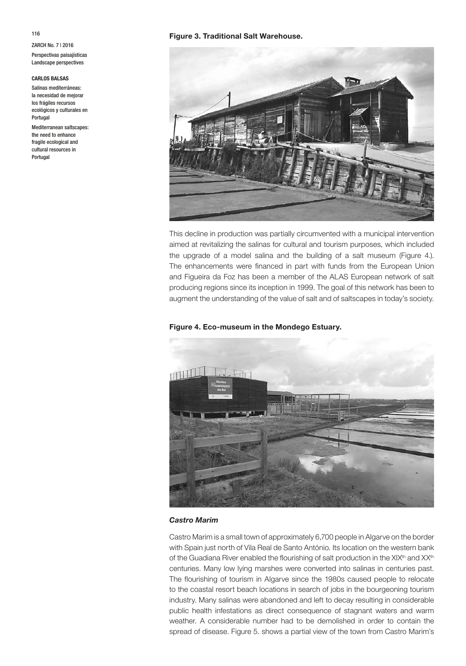#### **CARLOS BALSAS**

Salinas mediterráneas: la necesidad de mejorar los frágiles recursos ecológicos y culturales en Portugal

Mediterranean saltscapes: the need to enhance fragile ecological and cultural resources in Portugal

# **Figure 3. Traditional Salt Warehouse.**



This decline in production was partially circumvented with a municipal intervention aimed at revitalizing the salinas for cultural and tourism purposes, which included the upgrade of a model salina and the building of a salt museum (Figure 4.). The enhancements were financed in part with funds from the European Union and Figueira da Foz has been a member of the ALAS European network of salt producing regions since its inception in 1999. The goal of this network has been to augment the understanding of the value of salt and of saltscapes in today's society.

### **Figure 4. Eco-museum in the Mondego Estuary.**



### *Castro Marim*

Castro Marim is a small town of approximately 6,700 people in Algarve on the border with Spain just north of Vila Real de Santo António. Its location on the western bank of the Guadiana River enabled the flourishing of salt production in the XIX<sup>th</sup> and XX<sup>th</sup> centuries. Many low lying marshes were converted into salinas in centuries past. The flourishing of tourism in Algarve since the 1980s caused people to relocate to the coastal resort beach locations in search of jobs in the bourgeoning tourism industry. Many salinas were abandoned and left to decay resulting in considerable public health infestations as direct consequence of stagnant waters and warm weather. A considerable number had to be demolished in order to contain the spread of disease. Figure 5. shows a partial view of the town from Castro Marim's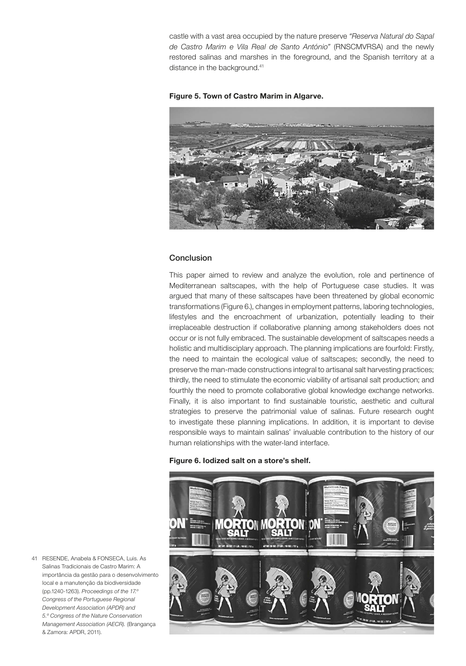castle with a vast area occupied by the nature preserve *"Reserva Natural do Sapal de Castro Marim e Vila Real de Santo António"* (RNSCMVRSA) and the newly restored salinas and marshes in the foreground, and the Spanish territory at a distance in the background.<sup>41</sup>





# Conclusion

This paper aimed to review and analyze the evolution, role and pertinence of Mediterranean saltscapes, with the help of Portuguese case studies. It was argued that many of these saltscapes have been threatened by global economic transformations (Figure 6.), changes in employment patterns, laboring technologies, lifestyles and the encroachment of urbanization, potentially leading to their irreplaceable destruction if collaborative planning among stakeholders does not occur or is not fully embraced. The sustainable development of saltscapes needs a holistic and multidisciplary approach. The planning implications are fourfold: Firstly, the need to maintain the ecological value of saltscapes; secondly, the need to preserve the man-made constructions integral to artisanal salt harvesting practices; thirdly, the need to stimulate the economic viability of artisanal salt production; and fourthly the need to promote collaborative global knowledge exchange networks. Finally, it is also important to find sustainable touristic, aesthetic and cultural strategies to preserve the patrimonial value of salinas. Future research ought to investigate these planning implications. In addition, it is important to devise responsible ways to maintain salinas' invaluable contribution to the history of our human relationships with the water-land interface.

### **Figure 6. Iodized salt on a store's shelf.**



41 RESENDE, Anabela & FONSECA, Luis. As Salinas Tradicionais de Castro Marim: A importância da gestão para o desenvolvimento local e a manutenção da biodiversidade (pp.1240-1263). *Proceedings of the 17.º Congress of the Portuguese Regional Development Association (APDR) and 5.º Congress of the Nature Conservation Management Association (AECR).* (Brangança & Zamora: APDR, 2011).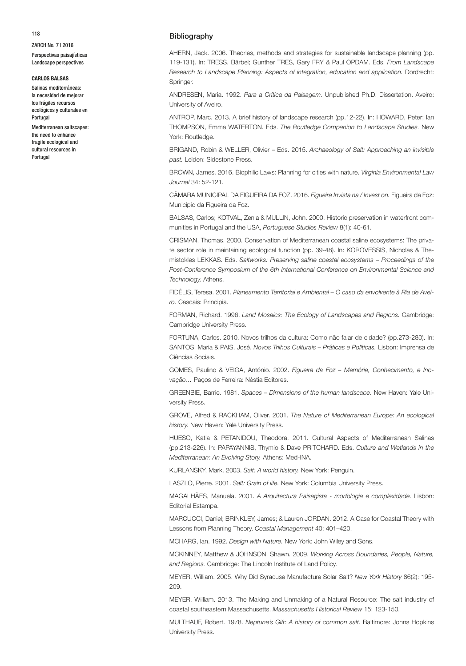#### **CARLOS BALSAS**

Salinas mediterráneas: la necesidad de mejorar los frágiles recursos ecológicos y culturales en Portugal

Mediterranean saltscapes: the need to enhance fragile ecological and cultural resources in Portugal

#### Bibliography

AHERN, Jack. 2006. Theories, methods and strategies for sustainable landscape planning (pp. 119-131). In: TRESS, Bärbel; Gunther TRES, Gary FRY & Paul OPDAM. Eds. *From Landscape Research to Landscape Planning: Aspects of integration, education and application.* Dordrecht: Springer.

ANDRESEN, Maria. 1992. *Para a Crítica da Paisagem.* Unpublished Ph.D. Dissertation. Aveiro: University of Aveiro.

ANTROP, Marc. 2013. A brief history of landscape research (pp.12-22). In: HOWARD, Peter; Ian THOMPSON, Emma WATERTON. Eds. *The Routledge Companion to Landscape Studies.* New York: Routledge.

BRIGAND, Robin & WELLER, Olivier – Eds. 2015. *Archaeology of Salt: Approaching an invisible past.* Leiden: Sidestone Press.

BROWN, James. 2016. Biophilic Laws: Planning for cities with nature. *Virginia Environmental Law Journal* 34: 52-121.

CÂMARA MUNICIPAL DA FIGUEIRA DA FOZ. 2016. *Figueira Invista na / Invest on.* Figueira da Foz: Município da Figueira da Foz.

BALSAS, Carlos; KOTVAL, Zenia & MULLIN, John. 2000. Historic preservation in waterfront communities in Portugal and the USA, *Portuguese Studies Review* 8(1): 40-61.

CRISMAN, Thomas. 2000. Conservation of Mediterranean coastal saline ecosystems: The private sector role in maintaining ecological function (pp. 39-48). In: KOROVESSIS, Nicholas & Themistokles LEKKAS. Eds. *Saltworks: Preserving saline coastal ecosystems – Proceedings of the Post-Conference Symposium of the 6th International Conference on Environmental Science and Technology,* Athens.

FIDÉLIS, Teresa. 2001. *Planeamento Territorial e Ambiental – O caso da envolvente à Ria de Aveiro.* Cascais: Principia.

FORMAN, Richard. 1996. *Land Mosaics: The Ecology of Landscapes and Regions.* Cambridge: Cambridge University Press.

FORTUNA, Carlos. 2010. Novos trilhos da cultura: Como não falar de cidade? (pp.273-280). In: SANTOS, Maria & PAIS, José. *Novos Trilhos Culturais – Práticas e Políticas.* Lisbon: Imprensa de Ciências Sociais.

GOMES, Paulino & VEIGA, António. 2002. *Figueira da Foz – Memória, Conhecimento, e Inovação…* Paços de Ferreira: Néstia Editores.

GREENBIE, Barrie. 1981. *Spaces – Dimensions of the human landscape.* New Haven: Yale University Press.

GROVE, Alfred & RACKHAM, Oliver. 2001. *The Nature of Mediterranean Europe: An ecological history.* New Haven: Yale University Press.

HUESO, Katia & PETANIDOU, Theodora. 2011. Cultural Aspects of Mediterranean Salinas (pp.213-226). In: PAPAYANNIS, Thymio & Dave PRITCHARD. Eds. *Culture and Wetlands in the Mediterranean: An Evolving Story.* Athens: Med-INA.

KURLANSKY, Mark. 2003. *Salt: A world history.* New York: Penguin.

LASZLO, Pierre. 2001. *Salt: Grain of life.* New York: Columbia University Press.

MAGALHÃES, Manuela. 2001. *A Arquitectura Paisagista - morfologia e complexidade.* Lisbon: Editorial Estampa.

MARCUCCI, Daniel; BRINKLEY, James; & Lauren JORDAN. 2012. A Case for Coastal Theory with Lessons from Planning Theory. *Coastal Management* 40: 401–420.

MCHARG, Ian. 1992. *Design with Nature.* New York: John Wiley and Sons.

MCKINNEY, Matthew & JOHNSON, Shawn. 2009. *Working Across Boundaries, People, Nature, and Regions.* Cambridge: The Lincoln Institute of Land Policy.

MEYER, William. 2005. Why Did Syracuse Manufacture Solar Salt? *New York History* 86(2): 195- 209.

MEYER, William. 2013. The Making and Unmaking of a Natural Resource: The salt industry of coastal southeastern Massachusetts. *Massachusetts Historical Review* 15: 123-150.

MULTHAUF, Robert. 1978. *Neptune's Gift: A history of common salt.* Baltimore: Johns Hopkins University Press.